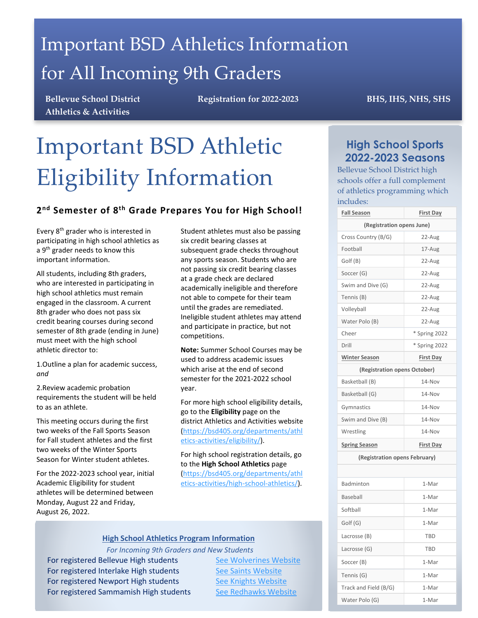## Important BSD Athletics Information for All Incoming 9th Graders

**Bellevue School District Athletics & Activities**

**Registration for 2022-2023 BHS, IHS, NHS, SHS**

# Important BSD Athletic Eligibility Information

## **2nd Semester of 8th Grade Prepares You for High School!**

Every 8<sup>th</sup> grader who is interested in participating in high school athletics as a 9<sup>th</sup> grader needs to know this important information.

All students, including 8th graders, who are interested in participating in high school athletics must remain engaged in the classroom. A current 8th grader who does not pass six credit bearing courses during second semester of 8th grade (ending in June) must meet with the high school athletic director to:

1.Outline a plan for academic success, *and*

2.Review academic probation requirements the student will be held to as an athlete.

This meeting occurs during the first two weeks of the Fall Sports Season for Fall student athletes and the first two weeks of the Winter Sports Season for Winter student athletes.

For the 2022-2023 school year, initial Academic Eligibility for student athletes will be determined between Monday, August 22 and Friday, August 26, 2022.

Student athletes must also be passing six credit bearing classes at subsequent grade checks throughout any sports season. Students who are not passing six credit bearing classes at a grade check are declared academically ineligible and therefore not able to compete for their team until the grades are remediated. Ineligible student athletes may attend and participate in practice, but not competitions.

**Note:** Summer School Courses may be used to address academic issues which arise at the end of second semester for the 2021-2022 school year.

For more high school eligibility details, go to the **Eligibility** page on the district Athletics and Activities website [\(https://bsd405.org/departments/athl](https://bsd405.org/departments/athletics-activities/eligibility/) [etics-activities/eligibility/\)](https://bsd405.org/departments/athletics-activities/eligibility/).

For high school registration details, go to the **High School Athletics** page [\(https://bsd405.org/departments/athl](https://bsd405.org/departments/athletics-activities/high-school-athletics/) [etics-activities/high-school-athletics/\)](https://bsd405.org/departments/athletics-activities/high-school-athletics/).

#### **High School Athletics Program Information**

*For Incoming 9th Graders and New Students*

For registered Bellevue High students [See Wolverines Website](http://www.bsd405.org/bhs/wolverines/athletics/) For registered Interlake High students [See Saints Website](http://www.bsd405.org/interlake/saints/athletics/) For registered Newport High students [See Knights Website](http://www.bsd405.org/nhs/knights/athletics/) For registered Sammamish High students [See Redhawks](https://bsd405.org/sammamish/redhawks/athletics/) Website

## **High School Sports 2022-2023 Seasons**

Bellevue School District high schools offer a full complement of athletics programming which includes:

| <b>Fall Season</b>            | <b>First Day</b> |  |  |
|-------------------------------|------------------|--|--|
| (Registration opens June)     |                  |  |  |
| Cross Country (B/G)           | 22-Aug           |  |  |
| Football                      | 17-Aug           |  |  |
| Golf (B)                      | 22-Aug           |  |  |
| Soccer (G)                    | 22-Aug           |  |  |
| Swim and Dive (G)             | 22-Aug           |  |  |
| Tennis (B)                    | 22-Aug           |  |  |
| Volleyball                    | 22-Aug           |  |  |
| Water Polo (B)                | 22-Aug           |  |  |
| Cheer                         | * Spring 2022    |  |  |
| Drill                         | * Spring 2022    |  |  |
| <b>Winter Season</b>          | <b>First Day</b> |  |  |
| (Registration opens October)  |                  |  |  |
| Basketball (B)                | 14-Nov           |  |  |
| Basketball (G)                | 14-Nov           |  |  |
| Gymnastics                    | 14-Nov           |  |  |
| Swim and Dive (B)             | 14-Nov           |  |  |
| Wrestling                     | 14-Nov           |  |  |
| <b>Spring Season</b>          | <b>First Day</b> |  |  |
| (Registration opens February) |                  |  |  |
|                               |                  |  |  |
| Badminton                     | 1-Mar            |  |  |
| Baseball                      | 1-Mar            |  |  |
| Softball                      | 1-Mar            |  |  |
| Golf (G)                      | 1-Mar            |  |  |

Lacrosse (B) TBD Lacrosse (G) TBD Soccer (B) 1-Mar Tennis (G) 1-Mar Track and Field (B/G) | 1-Mar Water Polo (G) 1-Mar

I